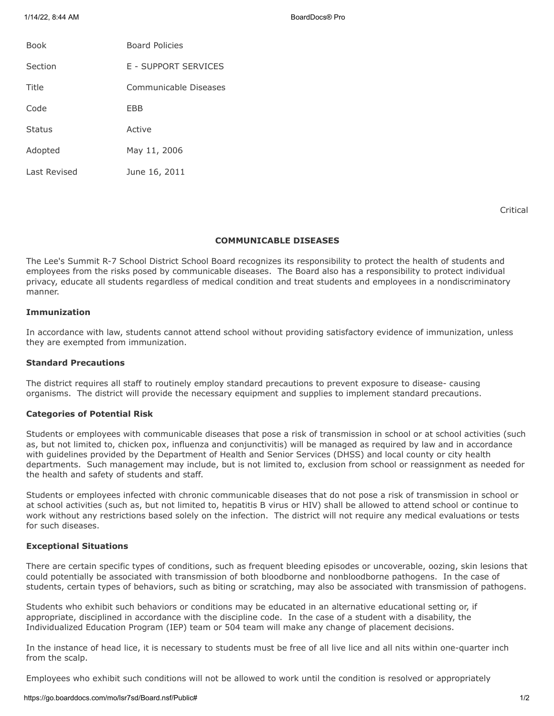1/14/22, 8:44 AM BoardDocs® Pro

| <b>Book</b>  | <b>Board Policies</b> |
|--------------|-----------------------|
| Section      | E - SUPPORT SERVICES  |
| Title        | Communicable Diseases |
| Code         | EBB                   |
| Status       | Active                |
| Adopted      | May 11, 2006          |
| Last Revised | June 16, 2011         |

Critical

#### **COMMUNICABLE DISEASES**

The Lee's Summit R-7 School District School Board recognizes its responsibility to protect the health of students and employees from the risks posed by communicable diseases. The Board also has a responsibility to protect individual privacy, educate all students regardless of medical condition and treat students and employees in a nondiscriminatory manner.

# **Immunization**

In accordance with law, students cannot attend school without providing satisfactory evidence of immunization, unless they are exempted from immunization.

# **Standard Precautions**

The district requires all staff to routinely employ standard precautions to prevent exposure to disease- causing organisms. The district will provide the necessary equipment and supplies to implement standard precautions.

#### **Categories of Potential Risk**

Students or employees with communicable diseases that pose a risk of transmission in school or at school activities (such as, but not limited to, chicken pox, influenza and conjunctivitis) will be managed as required by law and in accordance with guidelines provided by the Department of Health and Senior Services (DHSS) and local county or city health departments. Such management may include, but is not limited to, exclusion from school or reassignment as needed for the health and safety of students and staff.

Students or employees infected with chronic communicable diseases that do not pose a risk of transmission in school or at school activities (such as, but not limited to, hepatitis B virus or HIV) shall be allowed to attend school or continue to work without any restrictions based solely on the infection. The district will not require any medical evaluations or tests for such diseases.

## **Exceptional Situations**

There are certain specific types of conditions, such as frequent bleeding episodes or uncoverable, oozing, skin lesions that could potentially be associated with transmission of both bloodborne and nonbloodborne pathogens. In the case of students, certain types of behaviors, such as biting or scratching, may also be associated with transmission of pathogens.

Students who exhibit such behaviors or conditions may be educated in an alternative educational setting or, if appropriate, disciplined in accordance with the discipline code. In the case of a student with a disability, the Individualized Education Program (IEP) team or 504 team will make any change of placement decisions.

In the instance of head lice, it is necessary to students must be free of all live lice and all nits within one-quarter inch from the scalp.

Employees who exhibit such conditions will not be allowed to work until the condition is resolved or appropriately